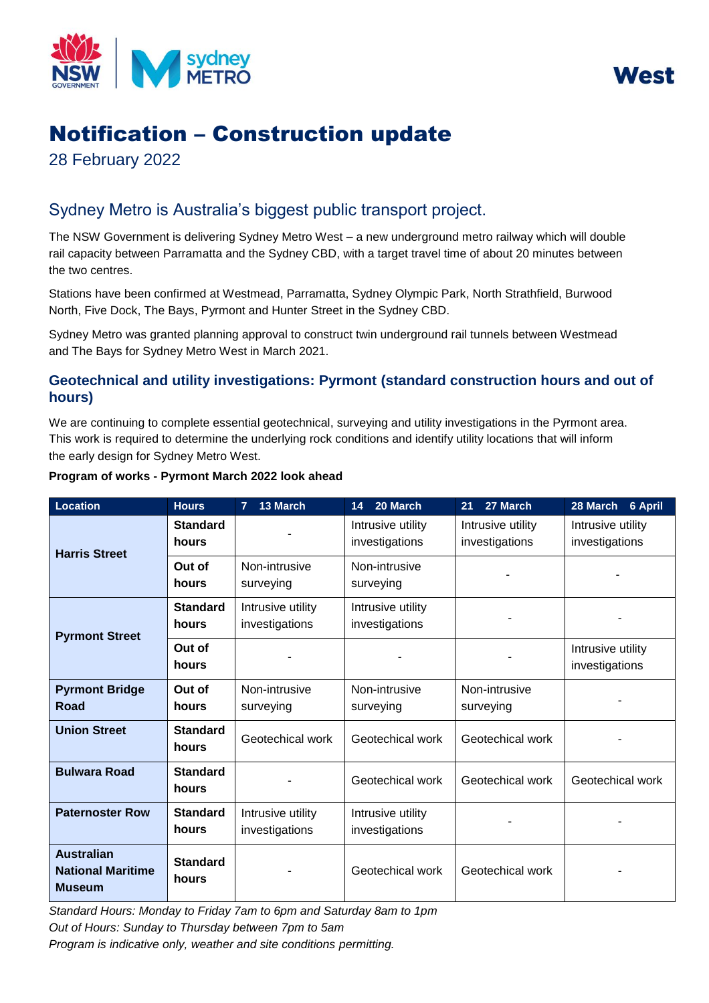



# Notification – Construction update

28 February 2022

# Sydney Metro is Australia's biggest public transport project.

 rail capacity between Parramatta and the Sydney CBD, with a target travel time of about 20 minutes between The NSW Government is delivering Sydney Metro West – a new underground metro railway which will double the two centres.

 Stations have been confirmed at Westmead, Parramatta, Sydney Olympic Park, North Strathfield, Burwood North, Five Dock, The Bays, Pyrmont and Hunter Street in the Sydney CBD.

 Sydney Metro was granted planning approval to construct twin underground rail tunnels between Westmead and The Bays for Sydney Metro West in March 2021.

## **Geotechnical and utility investigations: Pyrmont (standard construction hours and out of hours)**

 We are continuing to complete essential geotechnical, surveying and utility investigations in the Pyrmont area. This work is required to determine the underlying rock conditions and identify utility locations that will inform the early design for Sydney Metro West.

| <b>Location</b>                                                | <b>Hours</b>             | 13 March<br>$\overline{7}$          | 20 March<br>14                      | 27 March<br>21                      | 28 March<br>6 April                 |
|----------------------------------------------------------------|--------------------------|-------------------------------------|-------------------------------------|-------------------------------------|-------------------------------------|
| <b>Harris Street</b>                                           | <b>Standard</b><br>hours |                                     | Intrusive utility<br>investigations | Intrusive utility<br>investigations | Intrusive utility<br>investigations |
|                                                                | Out of<br>hours          | Non-intrusive<br>surveying          | Non-intrusive<br>surveying          |                                     |                                     |
| <b>Pyrmont Street</b>                                          | <b>Standard</b><br>hours | Intrusive utility<br>investigations | Intrusive utility<br>investigations |                                     |                                     |
|                                                                | Out of<br>hours          |                                     |                                     |                                     | Intrusive utility<br>investigations |
| <b>Pyrmont Bridge</b><br>Road                                  | Out of<br>hours          | Non-intrusive<br>surveying          | Non-intrusive<br>surveying          | Non-intrusive<br>surveying          |                                     |
| <b>Union Street</b>                                            | <b>Standard</b><br>hours | Geotechical work                    | Geotechical work                    | Geotechical work                    |                                     |
| <b>Bulwara Road</b>                                            | <b>Standard</b><br>hours |                                     | Geotechical work                    | Geotechical work                    | Geotechical work                    |
| <b>Paternoster Row</b>                                         | <b>Standard</b><br>hours | Intrusive utility<br>investigations | Intrusive utility<br>investigations |                                     |                                     |
| <b>Australian</b><br><b>National Maritime</b><br><b>Museum</b> | <b>Standard</b><br>hours |                                     | Geotechical work                    | Geotechical work                    |                                     |

## **Program of works - Pyrmont March 2022 look ahead**

 *Program is indicative only, weather and site conditions permitting. Standard Hours: Monday to Friday 7am to 6pm and Saturday 8am to 1pm Out of Hours: Sunday to Thursday between 7pm to 5am*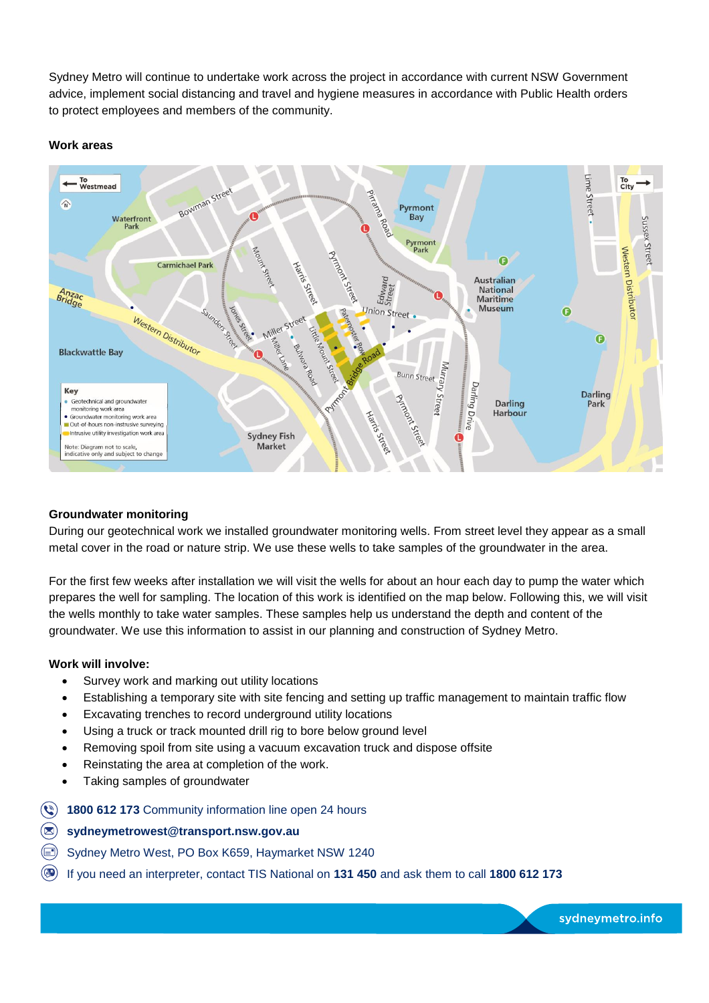Sydney Metro will continue to undertake work across the project in accordance with current NSW Government advice, implement social distancing and travel and hygiene measures in accordance with Public Health orders to protect employees and members of the community.

#### **Work areas**



#### **Groundwater monitoring**

 metal cover in the road or nature strip. We use these wells to take samples of the groundwater in the area. During our geotechnical work we installed groundwater monitoring wells. From street level they appear as a small

 For the first few weeks after installation we will visit the wells for about an hour each day to pump the water which prepares the well for sampling. The location of this work is identified on the map below. Following this, we will visit groundwater. We use this information to assist in our planning and construction of Sydney Metro. the wells monthly to take water samples. These samples help us understand the depth and content of the

#### **Work will involve:**

- Survey work and marking out utility locations
- Establishing a temporary site with site fencing and setting up traffic management to maintain traffic flow
- Excavating trenches to record underground utility locations
- Using a truck or track mounted drill rig to bore below ground level
- Removing spoil from site using a vacuum excavation truck and dispose offsite
- Reinstating the area at completion of the work.
- Taking samples of groundwater
- **8 1800 612 173** Community information line open 24 hours
- @) **[sydneymetrowest@transport.nsw.gov.au](mailto:sydneymetrowest@transport.nsw.gov.au)**
- ~ Sydney Metro West, PO Box K659, Haymarket NSW 1240
- @ If you need an interpreter, contact TIS National on **131 450** and ask them to call **1800 612 173**